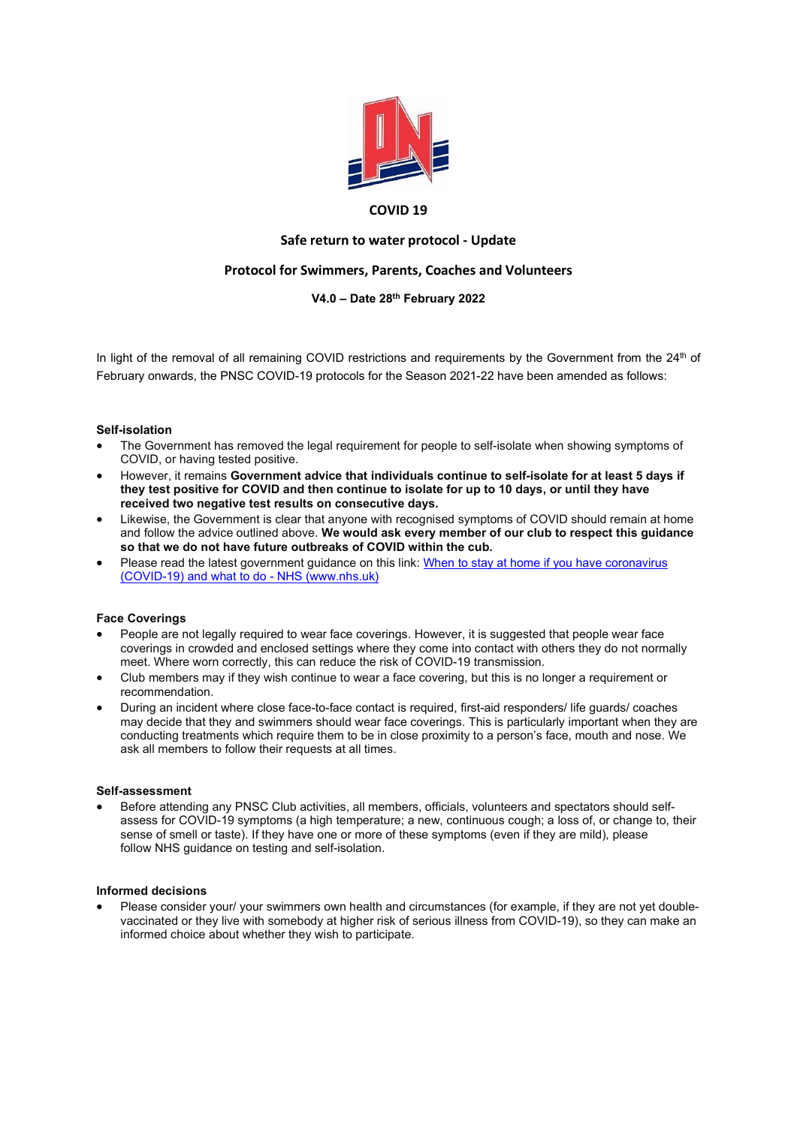

### COVID 19

# Safe return to water protocol - Update

# Protocol for Swimmers, Parents, Coaches and Volunteers

## V4.0 – Date 28th February 2022

In light of the removal of all remaining COVID restrictions and requirements by the Government from the 24<sup>th</sup> of February onwards, the PNSC COVID-19 protocols for the Season 2021-22 have been amended as follows:

#### Self-isolation

- The Government has removed the legal requirement for people to self-isolate when showing symptoms of COVID, or having tested positive.
- However, it remains Government advice that individuals continue to self-isolate for at least 5 days if they test positive for COVID and then continue to isolate for up to 10 days, or until they have received two negative test results on consecutive days.
- Likewise, the Government is clear that anyone with recognised symptoms of COVID should remain at home and follow the advice outlined above. We would ask every member of our club to respect this quidance so that we do not have future outbreaks of COVID within the cub.
- Please read the latest government guidance on this link: When to stay at home if you have coronavirus (COVID-19) and what to do - NHS (www.nhs.uk)

## Face Coverings

- People are not legally required to wear face coverings. However, it is suggested that people wear face coverings in crowded and enclosed settings where they come into contact with others they do not normally meet. Where worn correctly, this can reduce the risk of COVID-19 transmission.
- Club members may if they wish continue to wear a face covering, but this is no longer a requirement or recommendation.
- During an incident where close face-to-face contact is required, first-aid responders/ life guards/ coaches may decide that they and swimmers should wear face coverings. This is particularly important when they are conducting treatments which require them to be in close proximity to a person's face, mouth and nose. We ask all members to follow their requests at all times.

#### Self-assessment

 Before attending any PNSC Club activities, all members, officials, volunteers and spectators should selfassess for COVID-19 symptoms (a high temperature; a new, continuous cough; a loss of, or change to, their sense of smell or taste). If they have one or more of these symptoms (even if they are mild), please follow NHS guidance on testing and self-isolation.

### Informed decisions

Please consider your/ your swimmers own health and circumstances (for example, if they are not yet doublevaccinated or they live with somebody at higher risk of serious illness from COVID-19), so they can make an informed choice about whether they wish to participate.